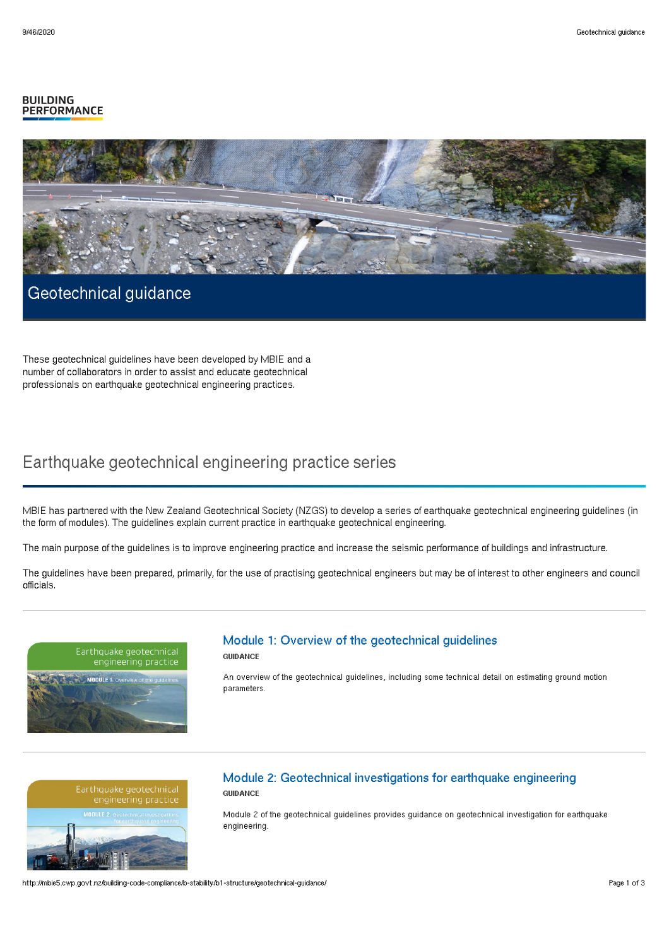#### **BUILDING PERFORMANCE**



# Geotechnical guidance

These geotechnical guidelines have been developed by MBIE and a number of collaborators in order to assist and educate geotechnical professionals on earthquake geotechnical engineering practices.

## Earthquake geotechnical engineering practice series

MBIE has partnered with the New Zealand Geotechnical Society (NZGS) to develop a series of earthquake geotechnical engineering guidelines (in the form of modules). The guidelines explain current practice in earthquake geotechnical engineering.

The main purpose of the guidelines is to improve engineering practice and increase the seismic performance of buildings and infrastructure.

The guidelines have been prepared, primarily, for the use of practising geotechnical engineers but may be of interest to other engineers and council officials.

# engineering practice

# Module 1: Overview of the geotechnical guidelines

**GUIDANCE** 

An overview of the geotechnical guidelines, including some technical detail on estimating ground motion parameters.



#### Module 2: Geotechnical investigations for earthquake engineering **GUIDANCE**

Module 2 of the geotechnical guidelines provides guidance on geotechnical investigation for earthquake engineering.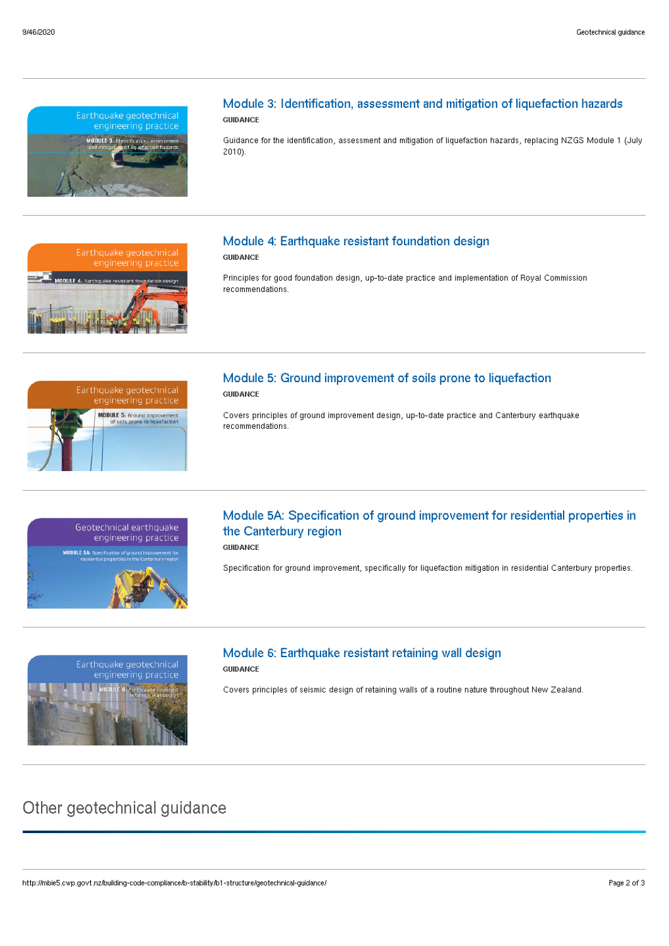



Guidance for the identification, assessment and mitigation of liquefaction hazards, replacing NZGS Module 1 (July 2010).



## Module 4: Earthquake resistant foundation design

**GUIDANCE** 

Principles for good foundation design, up-to-date practice and implementation of Royal Commission recommendations.



#### Module 5: Ground improvement of soils prone to liquefaction **GUIDANCE**

Covers principles of ground improvement design, up-to-date practice and Canterbury earthquake recommendations.



## Module 5A: Specification of ground improvement for residential properties in the Canterbury region

GUIDANCE

Specification for ground improvement, specifically for liquefaction mitigation in residential Canterbury properties.



## Module 6: Earthquake resistant retaining wall design

### **GUIDANCE**

Covers principles of seismic design of retaining walls of a routine nature throughout New Zealand.

## Other geotechnical guidance